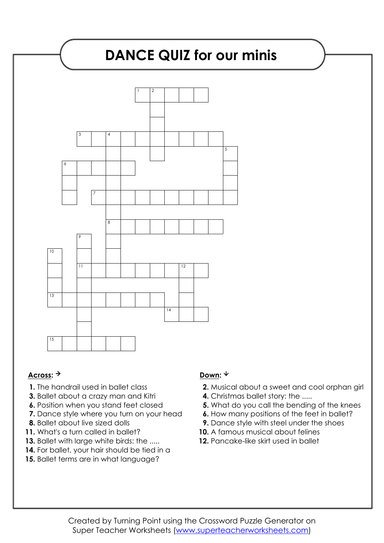# **DANCE QUIZ for our minis** 1 2 3 4 5 6 7 8 9  $\overline{10}$ 11 12 13  $\overline{14}$ 15

### Across: <sup>→</sup> Down: <sup>↓</sup>

- **1.** The handrail used in ballet class
- **3.** Ballet about a crazy man and Kitri
- **6.** Position when you stand feet closed
- **7.** Dance style where you turn on your head
- **8.** Ballet about live sized dolls
- **11.** What's a turn called in ballet?
- **13.** Ballet with large white birds: the .....
- 14. For ballet, your hair should be tied in a
- **15.** Ballet terms are in what language?

- **2.** Musical about a sweet and cool orphan girl
- **4.** Christmas ballet story: the .....
- **5.** What do you call the bending of the knees
- **6.** How many positions of the feet in ballet?
- **9.** Dance style with steel under the shoes
- **10.** A famous musical about felines
- 12. Pancake-like skirt used in ballet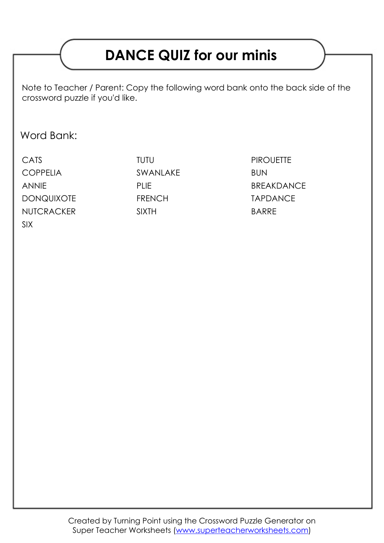## **DANCE QUIZ for our minis**

Note to Teacher / Parent: Copy the following word bank onto the back side of the crossword puzzle if you'd like.

### Word Bank:

CATS TUTU TUTU PIROUETTE COPPELIA SWANLAKE BUN ANNIE PLIE PLIE BREAKDANCE DONQUIXOTE FRENCH TAPDANCE NUTCRACKER SIXTH SIXTH BARRE SIX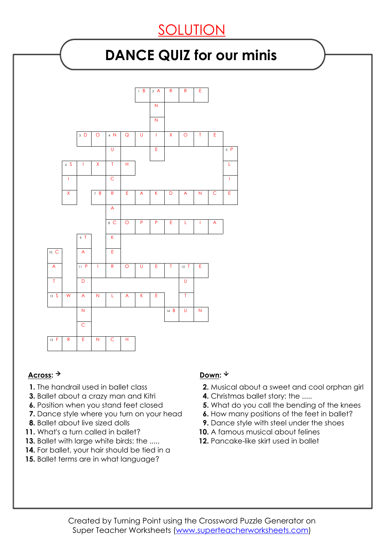## SOLUTION

## **DANCE QUIZ for our minis**



### Across: <sup>→</sup> Down: <sup>↓</sup>

- **1.** The handrail used in ballet class
- **3.** Ballet about a crazy man and Kitri
- **6.** Position when you stand feet closed
- **7.** Dance style where you turn on your head
- **8.** Ballet about live sized dolls
- **11.** What's a turn called in ballet?
- **13.** Ballet with large white birds: the .....
- 14. For ballet, your hair should be tied in a
- **15.** Ballet terms are in what language?

- **2.** Musical about a sweet and cool orphan girl
- **4.** Christmas ballet story: the .....
- **5.** What do you call the bending of the knees
- **6.** How many positions of the feet in ballet?
- **9.** Dance style with steel under the shoes
- **10.** A famous musical about felines
- 12. Pancake-like skirt used in ballet